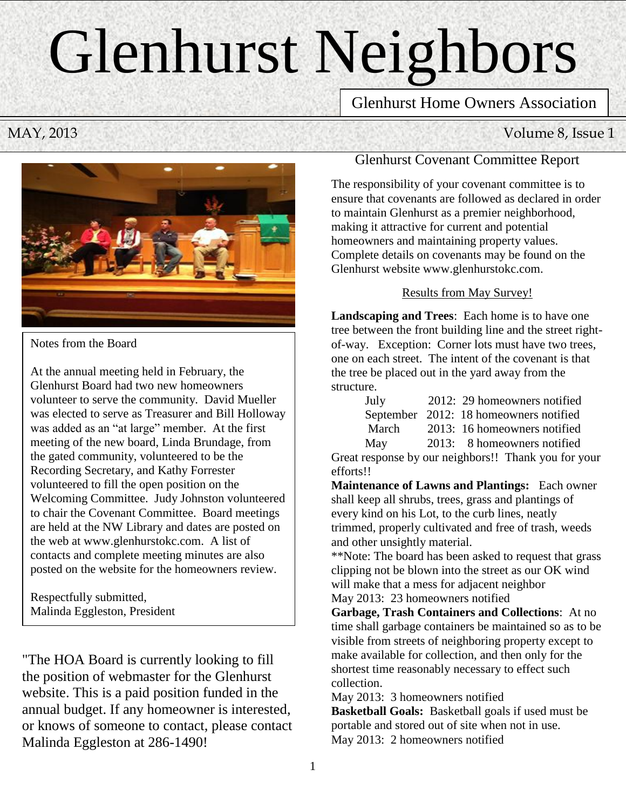# Glenhurst Neighbors

Newsletter

Glenhurst Home Owners Association

MAY, 2013 Volume 8, Issue 1



Notes from the Board

At the annual meeting held in February, the Glenhurst Board had two new homeowners volunteer to serve the community. David Mueller was elected to serve as Treasurer and Bill Holloway was added as an "at large" member. At the first meeting of the new board, Linda Brundage, from the gated community, volunteered to be the Recording Secretary, and Kathy Forrester volunteered to fill the open position on the Welcoming Committee. Judy Johnston volunteered to chair the Covenant Committee. Board meetings are held at the NW Library and dates are posted on the web at www.glenhurstokc.com. A list of contacts and complete meeting minutes are also posted on the website for the homeowners review.

Respectfully submitted, Malinda Eggleston, President

"The HOA Board is currently looking to fill the position of webmaster for the Glenhurst website. This is a paid position funded in the annual budget. If any homeowner is interested, or knows of someone to contact, please contact Malinda Eggleston at 286-1490!

# Glenhurst Covenant Committee Report

The responsibility of your covenant committee is to ensure that covenants are followed as declared in order to maintain Glenhurst as a premier neighborhood, making it attractive for current and potential homeowners and maintaining property values. Complete details on covenants may be found on the Glenhurst website www.glenhurstokc.com.

# Results from May Survey!

**Landscaping and Trees**: Each home is to have one tree between the front building line and the street rightof-way. Exception: Corner lots must have two trees, one on each street. The intent of the covenant is that the tree be placed out in the yard away from the structure.

| July  | 2012: 29 homeowners notified           |
|-------|----------------------------------------|
|       | September 2012: 18 homeowners notified |
| March | 2013: 16 homeowners notified           |
| May   | 2013: 8 homeowners notified            |

Great response by our neighbors!! Thank you for your efforts!!

**Maintenance of Lawns and Plantings:** Each owner shall keep all shrubs, trees, grass and plantings of every kind on his Lot, to the curb lines, neatly trimmed, properly cultivated and free of trash, weeds and other unsightly material.

\*\*Note: The board has been asked to request that grass clipping not be blown into the street as our OK wind will make that a mess for adjacent neighbor May 2013: 23 homeowners notified

**Garbage, Trash Containers and Collections**: At no time shall garbage containers be maintained so as to be visible from streets of neighboring property except to make available for collection, and then only for the shortest time reasonably necessary to effect such collection.

May 2013: 3 homeowners notified

**Basketball Goals:** Basketball goals if used must be portable and stored out of site when not in use. May 2013: 2 homeowners notified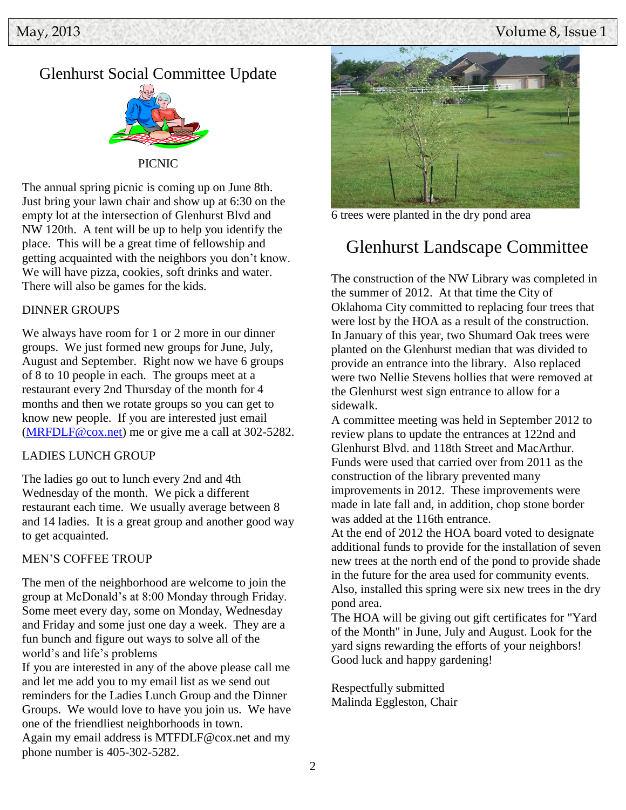# Glenhurst Social Committee Update



PICNIC

The annual spring picnic is coming up on June 8th. Just bring your lawn chair and show up at 6:30 on the empty lot at the intersection of Glenhurst Blvd and NW 120th. A tent will be up to help you identify the place. This will be a great time of fellowship and getting acquainted with the neighbors you don't know. We will have pizza, cookies, soft drinks and water. There will also be games for the kids.

#### DINNER GROUPS

We always have room for 1 or 2 more in our dinner groups. We just formed new groups for June, July, August and September. Right now we have 6 groups of 8 to 10 people in each. The groups meet at a restaurant every 2nd Thursday of the month for 4 months and then we rotate groups so you can get to know new people. If you are interested just email [\(MRFDLF@cox.net\)](mailto:MRFDLF@cox.net) me or give me a call at 302-5282.

#### LADIES LUNCH GROUP

The ladies go out to lunch every 2nd and 4th Wednesday of the month. We pick a different restaurant each time. We usually average between 8 and 14 ladies. It is a great group and another good way to get acquainted.

#### MEN'S COFFEE TROUP

The men of the neighborhood are welcome to join the group at McDonald's at 8:00 Monday through Friday. Some meet every day, some on Monday, Wednesday and Friday and some just one day a week. They are a fun bunch and figure out ways to solve all of the world's and life's problems

If you are interested in any of the above please call me and let me add you to my email list as we send out reminders for the Ladies Lunch Group and the Dinner Groups. We would love to have you join us. We have one of the friendliest neighborhoods in town. Again my email address is MTFDLF@cox.net and my phone number is 405-302-5282.



6 trees were planted in the dry pond area

# Glenhurst Landscape Committee

The construction of the NW Library was completed in the summer of 2012. At that time the City of Oklahoma City committed to replacing four trees that were lost by the HOA as a result of the construction. In January of this year, two Shumard Oak trees were planted on the Glenhurst median that was divided to provide an entrance into the library. Also replaced were two Nellie Stevens hollies that were removed at the Glenhurst west sign entrance to allow for a sidewalk.

A committee meeting was held in September 2012 to review plans to update the entrances at 122nd and Glenhurst Blvd. and 118th Street and MacArthur. Funds were used that carried over from 2011 as the construction of the library prevented many improvements in 2012. These improvements were made in late fall and, in addition, chop stone border was added at the 116th entrance.

At the end of 2012 the HOA board voted to designate additional funds to provide for the installation of seven new trees at the north end of the pond to provide shade in the future for the area used for community events. Also, installed this spring were six new trees in the dry pond area.

The HOA will be giving out gift certificates for "Yard of the Month" in June, July and August. Look for the yard signs rewarding the efforts of your neighbors! Good luck and happy gardening!

Respectfully submitted Malinda Eggleston, Chair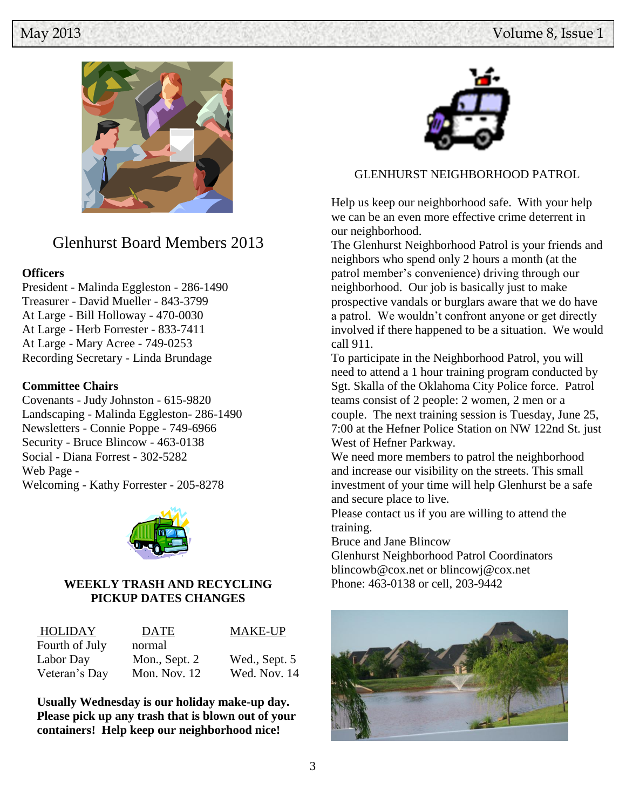

# Glenhurst Board Members 2013

### **Officers**

President - Malinda Eggleston - 286-1490 Treasurer - David Mueller - 843-3799 At Large - Bill Holloway - 470-0030 At Large - Herb Forrester - 833-7411 At Large - Mary Acree - 749-0253 Recording Secretary - Linda Brundage

## **Committee Chairs**

Covenants - Judy Johnston - 615-9820 Landscaping - Malinda Eggleston- 286-1490 Newsletters - Connie Poppe - 749-6966 Security - Bruce Blincow - 463-0138 Social - Diana Forrest - 302-5282 Web Page - Welcoming - Kathy Forrester - 205-8278



## **WEEKLY TRASH AND RECYCLING PICKUP DATES CHANGES**

| HOLIDAY        | DATE           | <b>MAKE-UP</b> |
|----------------|----------------|----------------|
| Fourth of July | normal         |                |
| Labor Day      | Mon., Sept. 2  | Wed., Sept. 5  |
| Veteran's Day  | Mon. Nov. $12$ | Wed. Nov. 14   |

**Usually Wednesday is our holiday make-up day. Please pick up any trash that is blown out of your containers! Help keep our neighborhood nice!**



# GLENHURST NEIGHBORHOOD PATROL

Help us keep our neighborhood safe. With your help we can be an even more effective crime deterrent in our neighborhood.

The Glenhurst Neighborhood Patrol is your friends and neighbors who spend only 2 hours a month (at the patrol member's convenience) driving through our neighborhood. Our job is basically just to make prospective vandals or burglars aware that we do have a patrol. We wouldn't confront anyone or get directly involved if there happened to be a situation. We would call 911.

To participate in the Neighborhood Patrol, you will need to attend a 1 hour training program conducted by Sgt. Skalla of the Oklahoma City Police force. Patrol teams consist of 2 people: 2 women, 2 men or a couple. The next training session is Tuesday, June 25, 7:00 at the Hefner Police Station on NW 122nd St. just West of Hefner Parkway.

We need more members to patrol the neighborhood and increase our visibility on the streets. This small investment of your time will help Glenhurst be a safe and secure place to live.

Please contact us if you are willing to attend the training.

Bruce and Jane Blincow

Glenhurst Neighborhood Patrol Coordinators blincowb@cox.net or blincowj@cox.net Phone: 463-0138 or cell, 203-9442